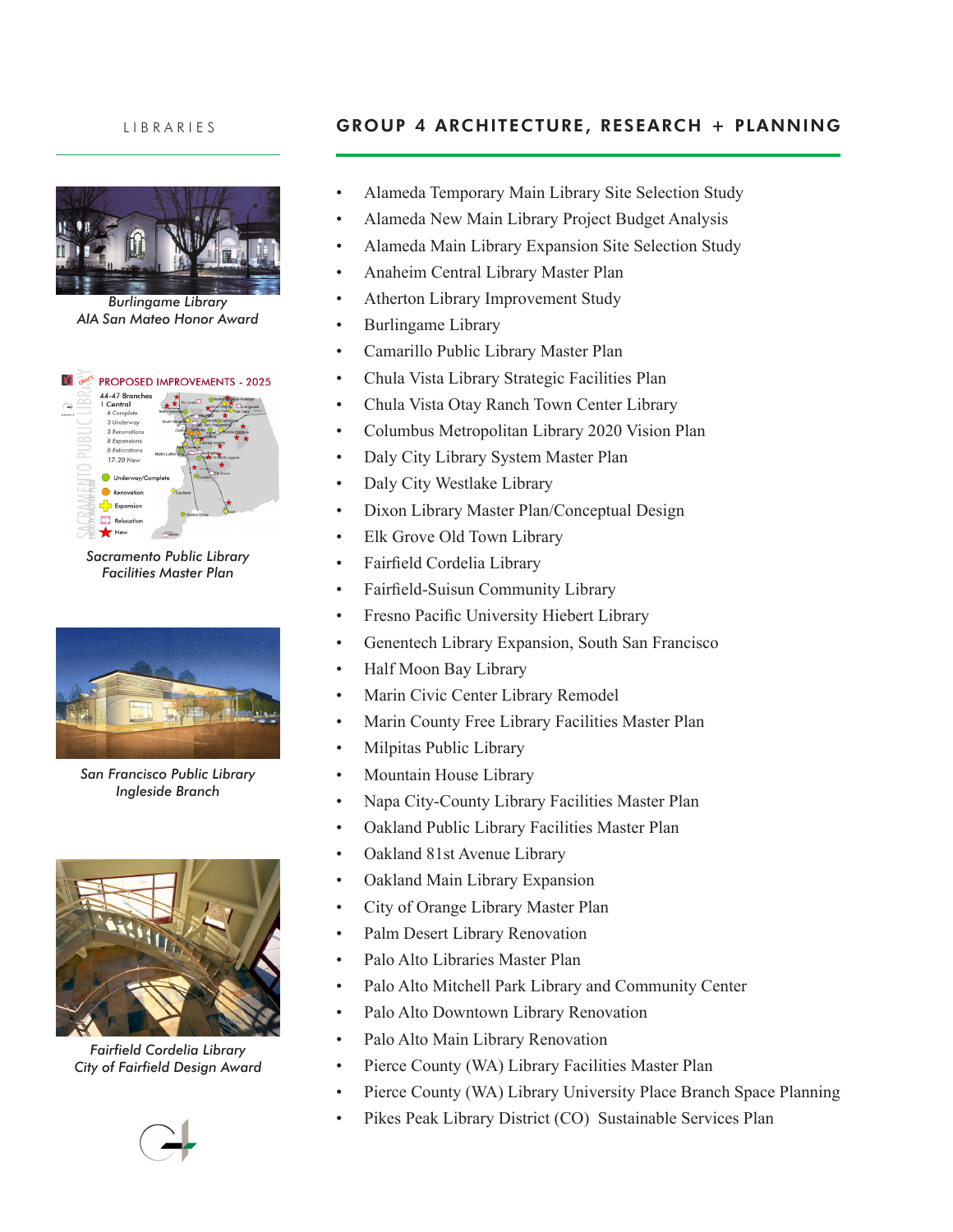

*Burlingame Library AIA San Mateo Honor Award*



*Sacramento Public Library Facilities Master Plan*



*San Francisco Public Library Ingleside Branch*



*Fairfield Cordelia Library City of Fairfield Design Award*



## LIBRARIES **GROUP 4 ARCHITECTURE, RESEARCH + PLANNING**

- Alameda Temporary Main Library Site Selection Study
- Alameda New Main Library Project Budget Analysis
- Alameda Main Library Expansion Site Selection Study
- Anaheim Central Library Master Plan
- Atherton Library Improvement Study
- • Burlingame Library
- • Camarillo Public Library Master Plan
- Chula Vista Library Strategic Facilities Plan
- Chula Vista Otay Ranch Town Center Library
- • Columbus Metropolitan Library 2020 Vision Plan
- • Daly City Library System Master Plan
- Daly City Westlake Library
- Dixon Library Master Plan/Conceptual Design
- Elk Grove Old Town Library
- Fairfield Cordelia Library
- • Fairfield-Suisun Community Library
- • Fresno Pacific University Hiebert Library
- Genentech Library Expansion, South San Francisco
- • Half Moon Bay Library
- Marin Civic Center Library Remodel
- Marin County Free Library Facilities Master Plan
- Milpitas Public Library
- Mountain House Library
- Napa City-County Library Facilities Master Plan
- • Oakland Public Library Facilities Master Plan
- Oakland 81st Avenue Library
- • Oakland Main Library Expansion
- • City of Orange Library Master Plan
- • Palm Desert Library Renovation
- • Palo Alto Libraries Master Plan
- Palo Alto Mitchell Park Library and Community Center
- Palo Alto Downtown Library Renovation
- Palo Alto Main Library Renovation
- Pierce County (WA) Library Facilities Master Plan
- Pierce County (WA) Library University Place Branch Space Planning
- Pikes Peak Library District (CO) Sustainable Services Plan